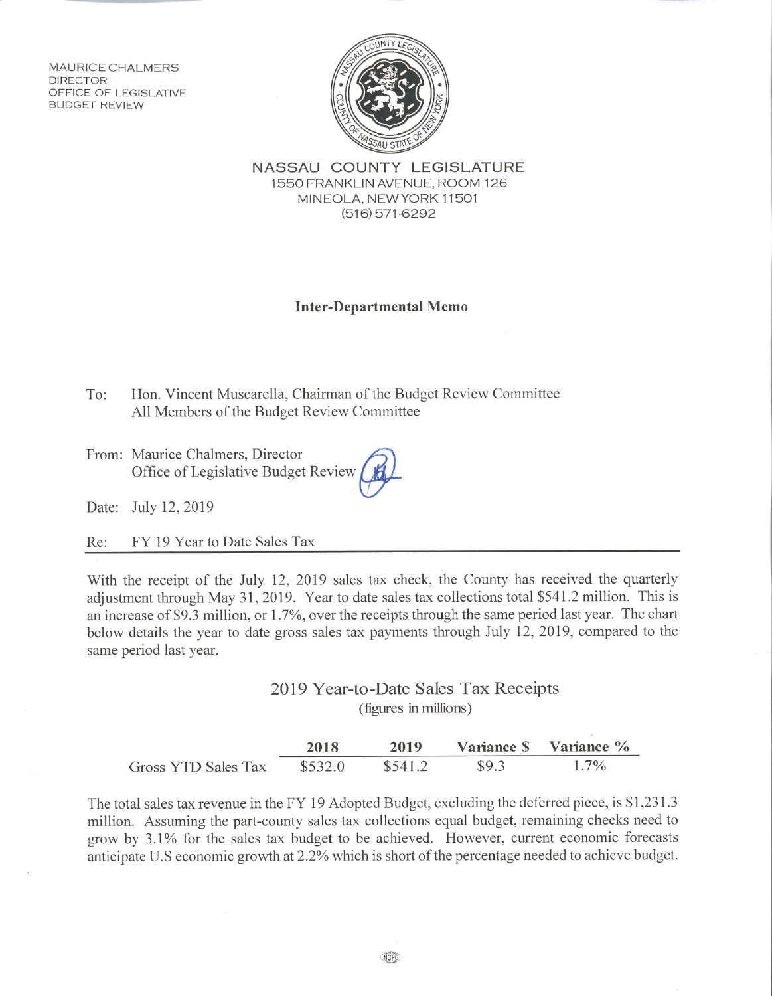**MAURICE CHALMERS DIRECTOR** OFFICE OF LEGISLATIVE **BUDGET REVIEW** 



NASSAU COUNTY LEGISLATURE 1550 FRANKLIN AVENUE, ROOM 126 MINEOLA, NEW YORK 11501  $(516)$  571-6292

## **Inter-Departmental Memo**

 $To:$ Hon. Vincent Muscarella, Chairman of the Budget Review Committee All Members of the Budget Review Committee

From: Maurice Chalmers, Director Office of Legislative Budget Review

Date: July 12, 2019

FY 19 Year to Date Sales Tax Re:

With the receipt of the July 12, 2019 sales tax check, the County has received the quarterly adjustment through May 31, 2019. Year to date sales tax collections total \$541.2 million. This is an increase of \$9.3 million, or  $1.7\%$ , over the receipts through the same period last year. The chart below details the year to date gross sales tax payments through July 12, 2019, compared to the same period last year.

> 2019 Year-to-Date Sales Tax Receipts (figures in millions)

|                     | 2018    | 2019    |       | Variance S Variance % |
|---------------------|---------|---------|-------|-----------------------|
| Gross YTD Sales Tax | \$532.0 | \$541.2 | \$9.3 | $1.7\%$               |

The total sales tax revenue in the FY 19 Adopted Budget, excluding the deferred piece, is \$1,231.3 million. Assuming the part-county sales tax collections equal budget, remaining checks need to grow by 3.1% for the sales tax budget to be achieved. However, current economic forecasts anticipate U.S economic growth at 2.2% which is short of the percentage needed to achieve budget.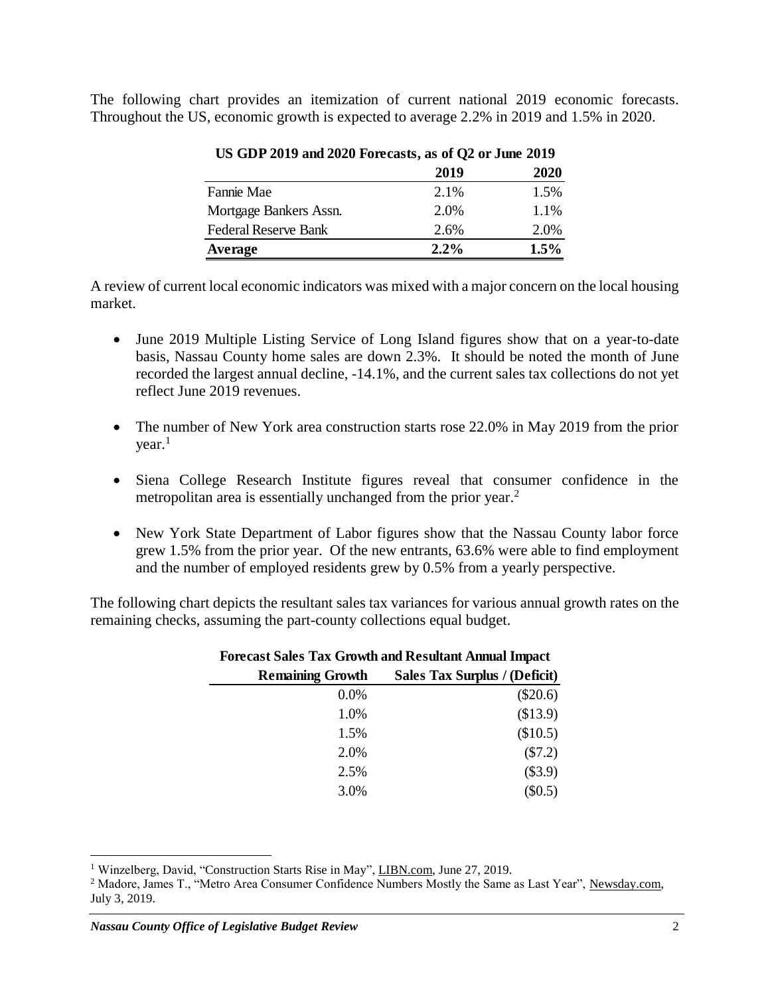The following chart provides an itemization of current national 2019 economic forecasts. Throughout the US, economic growth is expected to average 2.2% in 2019 and 1.5% in 2020.

|                        | 2019    | <b>2020</b> |
|------------------------|---------|-------------|
| Fannie Mae             | 2.1%    | 1.5%        |
| Mortgage Bankers Assn. | 2.0%    | 1.1%        |
| Federal Reserve Bank   | 2.6%    | 2.0%        |
| Average                | $2.2\%$ | 1.5%        |
|                        |         |             |

## **US GDP 2019 and 2020 Forecasts, as of Q2 or June 2019**

A review of current local economic indicators was mixed with a major concern on the local housing market.

- June 2019 Multiple Listing Service of Long Island figures show that on a year-to-date basis, Nassau County home sales are down 2.3%. It should be noted the month of June recorded the largest annual decline, -14.1%, and the current sales tax collections do not yet reflect June 2019 revenues.
- The number of New York area construction starts rose 22.0% in May 2019 from the prior year. 1
- Siena College Research Institute figures reveal that consumer confidence in the metropolitan area is essentially unchanged from the prior year.<sup>2</sup>
- New York State Department of Labor figures show that the Nassau County labor force grew 1.5% from the prior year. Of the new entrants, 63.6% were able to find employment and the number of employed residents grew by 0.5% from a yearly perspective.

The following chart depicts the resultant sales tax variances for various annual growth rates on the remaining checks, assuming the part-county collections equal budget.

| <b>Forecast Sales Tax Growth and Resultant Annual Impact</b> |                               |  |  |  |
|--------------------------------------------------------------|-------------------------------|--|--|--|
| <b>Remaining Growth</b>                                      | Sales Tax Surplus / (Deficit) |  |  |  |
| 0.0%                                                         | $(\$20.6)$                    |  |  |  |
| 1.0%                                                         | (\$13.9)                      |  |  |  |
| 1.5%                                                         | (\$10.5)                      |  |  |  |
| 2.0%                                                         | (\$7.2)                       |  |  |  |
| 2.5%                                                         | $(\$3.9)$                     |  |  |  |
| 3.0%                                                         | $(\$0.5)$                     |  |  |  |

 $\overline{a}$ 

<sup>&</sup>lt;sup>1</sup> Winzelberg, David, "Construction Starts Rise in May", LIBN.com, June 27, 2019.

<sup>&</sup>lt;sup>2</sup> Madore, James T., "Metro Area Consumer Confidence Numbers Mostly the Same as Last Year", Newsday.com, July 3, 2019.